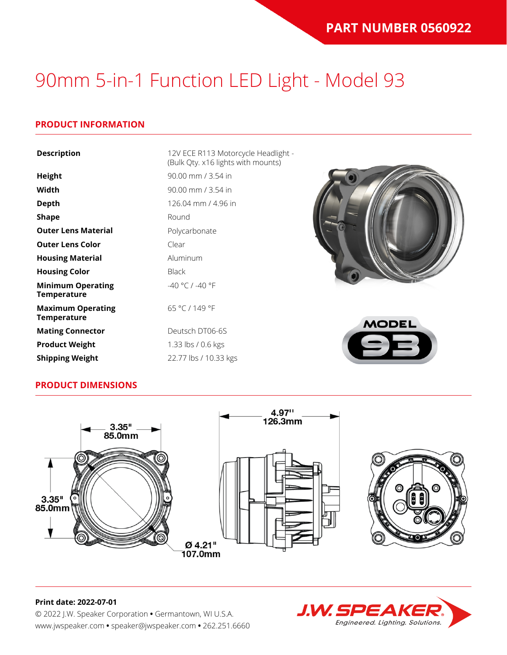#### **PRODUCT INFORMATION**

| <b>Description</b>                             | 12V ECE R113 Motorcycle Headlight -<br>(Bulk Qty. x16 lights with mounts) |                |
|------------------------------------------------|---------------------------------------------------------------------------|----------------|
| <b>Height</b>                                  | 90.00 mm / 3.54 in                                                        |                |
| Width                                          | 90.00 mm / 3.54 in                                                        |                |
| <b>Depth</b>                                   | 126.04 mm / 4.96 in                                                       |                |
| <b>Shape</b>                                   | Round                                                                     |                |
| <b>Outer Lens Material</b>                     | Polycarbonate                                                             |                |
| <b>Outer Lens Color</b>                        | Clear                                                                     |                |
| <b>Housing Material</b>                        | Aluminum                                                                  |                |
| <b>Housing Color</b>                           | <b>Black</b>                                                              |                |
| <b>Minimum Operating</b><br><b>Temperature</b> | $-40 °C / -40 °F$                                                         |                |
| <b>Maximum Operating</b><br><b>Temperature</b> | 65 °C / 149 °F                                                            | <b>MODEL</b>   |
| <b>Mating Connector</b>                        | Deutsch DT06-6S                                                           |                |
| <b>Product Weight</b>                          | 1.33 lbs / 0.6 kgs                                                        | $\blacksquare$ |
| <b>Shipping Weight</b>                         | 22.77 lbs / 10.33 kgs                                                     |                |

#### **PRODUCT DIMENSIONS**





### **J.W. SPEAK** Engineered. Lighting. Solutions.

#### **Print date: 2022-07-01**

© 2022 J.W. Speaker Corporation **•** Germantown, WI U.S.A. www.jwspeaker.com **•** speaker@jwspeaker.com **•** 262.251.6660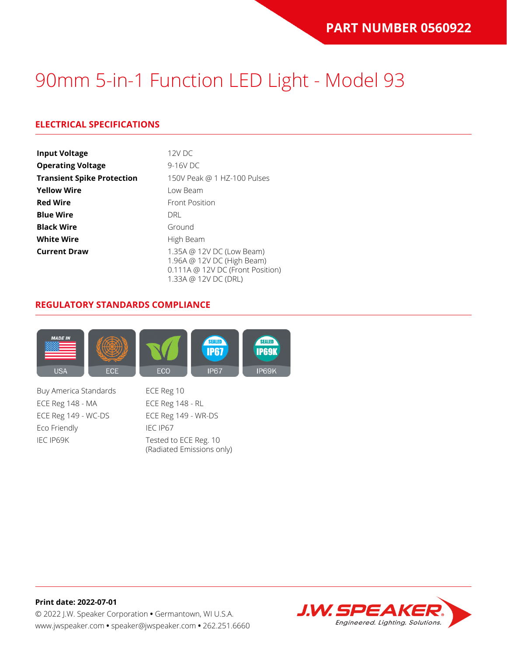### **ELECTRICAL SPECIFICATIONS**

| <b>Input Voltage</b>              | $12V$ DC                                                                                                            |
|-----------------------------------|---------------------------------------------------------------------------------------------------------------------|
| <b>Operating Voltage</b>          | 9-16V DC                                                                                                            |
| <b>Transient Spike Protection</b> | 150V Peak @ 1 HZ-100 Pulses                                                                                         |
| <b>Yellow Wire</b>                | Low Beam                                                                                                            |
| <b>Red Wire</b>                   | <b>Front Position</b>                                                                                               |
| <b>Blue Wire</b>                  | DRI                                                                                                                 |
| <b>Black Wire</b>                 | Ground                                                                                                              |
| <b>White Wire</b>                 | High Beam                                                                                                           |
| <b>Current Draw</b>               | 1.35A @ 12V DC (Low Beam)<br>1.96A @ 12V DC (High Beam)<br>0.111A @ 12V DC (Front Position)<br>1.33A @ 12V DC (DRL) |

#### **REGULATORY STANDARDS COMPLIANCE**



Buy America Standards ECE Reg 10 ECE Reg 148 - MA ECE Reg 148 - RL ECE Reg 149 - WC-DS ECE Reg 149 - WR-DS Eco Friendly IEC IP67 IEC IP69K Tested to ECE Reg. 10

(Radiated Emissions only)

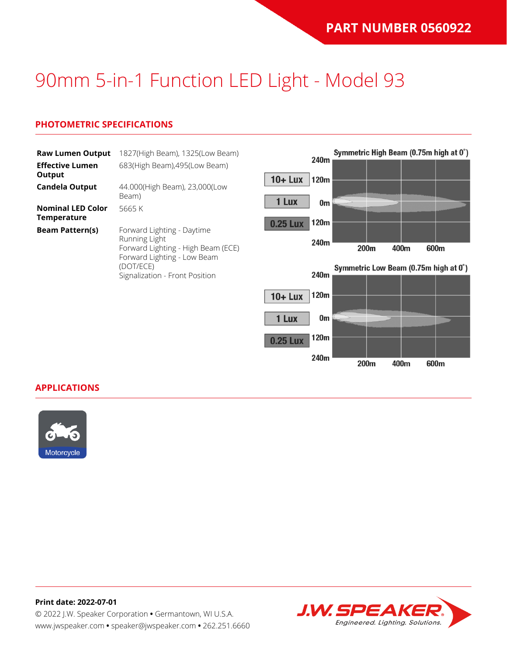#### **PHOTOMETRIC SPECIFICATIONS**

| <b>Raw Lumen Output</b><br><b>Effective Lumen</b> | 1827(High Beam), 1325(Low Beam)<br>683(High Beam), 495(Low Beam)                                                              |                 | 240m         | Symmetric High Beam (0.75m high at 0°)        |      |      |  |
|---------------------------------------------------|-------------------------------------------------------------------------------------------------------------------------------|-----------------|--------------|-----------------------------------------------|------|------|--|
| Output<br><b>Candela Output</b>                   | 44.000(High Beam), 23,000(Low                                                                                                 | $10 + Lux$      | 120m         |                                               |      |      |  |
| <b>Nominal LED Color</b>                          | Beam)<br>5665 K                                                                                                               | 1 Lux           | 0m           |                                               |      |      |  |
| <b>Temperature</b><br><b>Beam Pattern(s)</b>      | Forward Lighting - Daytime<br>Running Light<br>Forward Lighting - High Beam (ECE)<br>Forward Lighting - Low Beam<br>(DOT/ECE) | <b>0.25 Lux</b> | 120m<br>240m |                                               |      |      |  |
|                                                   |                                                                                                                               |                 | 240m         | 200m<br>Symmetric Low Beam (0.75m high at 0°) | 400m | 600m |  |
|                                                   | Signalization - Front Position                                                                                                | $10 +$ Lux      | 120m         |                                               |      |      |  |
|                                                   |                                                                                                                               | 1 Lux           | 0m           |                                               |      |      |  |

120m

240m

200m

400m

600m

0.25 Lux

**APPLICATIONS**



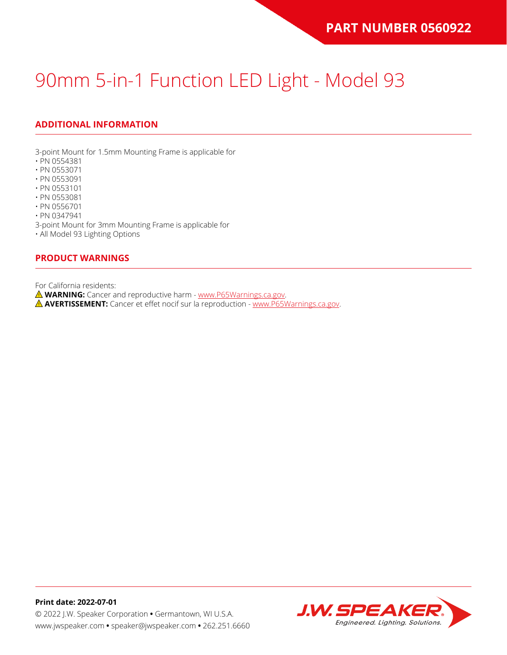### **ADDITIONAL INFORMATION**

3-point Mount for 1.5mm Mounting Frame is applicable for

- PN 0554381
- PN 0553071
- PN 0553091
- PN 0553101
- PN 0553081
- PN 0556701

• PN 0347941

3-point Mount for 3mm Mounting Frame is applicable for

• All Model 93 Lighting Options

#### **PRODUCT WARNINGS**

For California residents:

**WARNING:** Cancer and reproductive harm - [www.P65Warnings.ca.gov](https://www.p65warnings.ca.gov/).

**AVERTISSEMENT:** Cancer et effet nocif sur la reproduction - [www.P65Warnings.ca.gov.](https://www.p65warnings.ca.gov/)

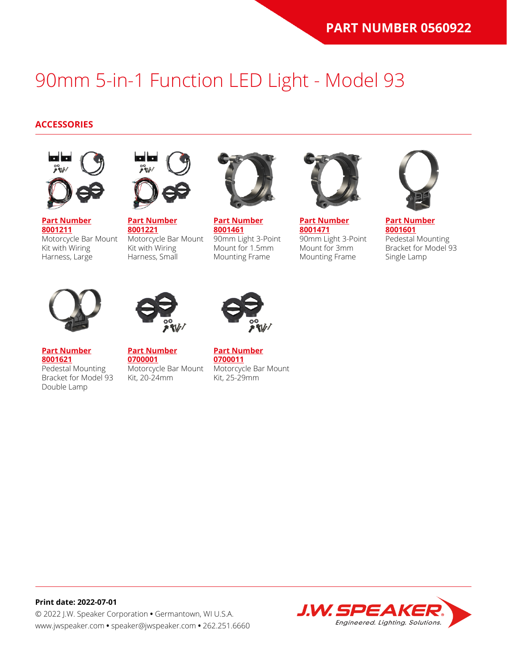#### **ACCESSORIES**



**[Part Number](https://www.jwspeaker.com/products/90mm-headlights-model-93/8001211/) [8001211](https://www.jwspeaker.com/products/90mm-headlights-model-93/8001211/)** Motorcycle Bar Mount Kit with Wiring Harness, Large



**[Part Number](https://www.jwspeaker.com/products/90mm-headlights-model-93/8001221/) [8001221](https://www.jwspeaker.com/products/90mm-headlights-model-93/8001221/)** Motorcycle Bar Mount Kit with Wiring Harness, Small



**[Part Number](https://www.jwspeaker.com/products/90mm-headlights-model-93/8001461/) [8001461](https://www.jwspeaker.com/products/90mm-headlights-model-93/8001461/)** 90mm Light 3-Point Mount for 1.5mm Mounting Frame



**[Part Number](https://www.jwspeaker.com/products/90mm-headlights-model-93/8001471/) [8001471](https://www.jwspeaker.com/products/90mm-headlights-model-93/8001471/)** 90mm Light 3-Point Mount for 3mm Mounting Frame



**[Part Number](https://www.jwspeaker.com/products/90mm-headlights-model-93/8001601/) [8001601](https://www.jwspeaker.com/products/90mm-headlights-model-93/8001601/)** Pedestal Mounting Bracket for Model 93 Single Lamp



**[Part Number](https://www.jwspeaker.com/products/90mm-headlights-model-93/8001621/) [8001621](https://www.jwspeaker.com/products/90mm-headlights-model-93/8001621/)**

Double Lamp

Pedestal Mounting



**[Part Number](https://www.jwspeaker.com/?post_type=part&p=26513&preview=true) [0700001](https://www.jwspeaker.com/?post_type=part&p=26513&preview=true)** Bracket for Model 93 Motorcycle Bar Mount Kit, 20-24mm



**[Part Number](https://www.jwspeaker.com/?post_type=part&p=26512&preview=true) [0700011](https://www.jwspeaker.com/?post_type=part&p=26512&preview=true)** Motorcycle Bar Mount Kit, 25-29mm